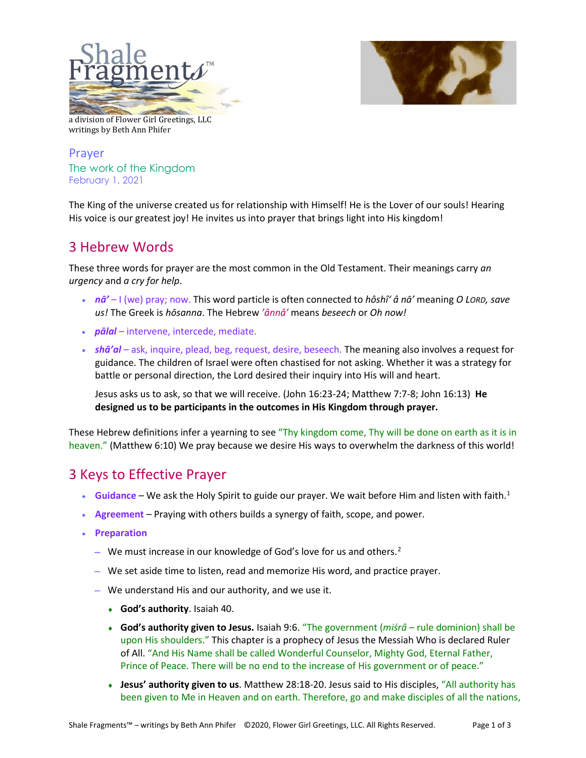



a division of Flower Girl Greetings, LLC writings by Beth Ann Phifer

Prayer The work of the Kingdom February 1, 2021

The King of the universe created us for relationship with Himself! He is the Lover of our souls! Hearing His voice is our greatest joy! He invites us into prayer that brings light into His kingdom!

## 3 Hebrew Words

These three words for prayer are the most common in the Old Testament. Their meanings carry *an urgency* and *a cry for help*.

- *nā'* I (we) pray; now. This word particle is often connected to *hôshî' â nā'* meaning *O LORD, save us!* The Greek is *hōsanna*. The Hebrew *'ânnâ'* means *beseech* or *Oh now!*
- *pālal*  intervene, intercede, mediate.
- *shā'al* ask, inquire, plead, beg, request, desire, beseech. The meaning also involves a request for guidance. The children of Israel were often chastised for not asking. Whether it was a strategy for battle or personal direction, the Lord desired their inquiry into His will and heart.

Jesus asks us to ask, so that we will receive. (John 16:23-24; Matthew 7:7-8; John 16:13) **He designed us to be participants in the outcomes in His Kingdom through prayer.**

These Hebrew definitions infer a yearning to see "Thy kingdom come, Thy will be done on earth as it is in heaven." (Matthew 6:10) We pray because we desire His ways to overwhelm the darkness of this world!

## 3 Keys to Effective Prayer

- $\bullet$  **Guidance** We ask the Holy Spirit to guide our prayer. We wait before Him and listen with faith.<sup>[1](#page-2-0)</sup>
- **Agreement** Praying with others builds a synergy of faith, scope, and power.
- **Preparation**
	- − We must increase in our knowledge of God's love for us and others.<sup>[2](#page-2-1)</sup>
	- − We set aside time to listen, read and memorize His word, and practice prayer.
	- − We understand His and our authority, and we use it.
		- ♦ **God's authority**. Isaiah 40.
		- ♦ **God's authority given to Jesus.** Isaiah 9:6. "The government (*miśrâ* rule dominion) shall be upon His shoulders." This chapter is a prophecy of Jesus the Messiah Who is declared Ruler of All. "And His Name shall be called Wonderful Counselor, Mighty God, Eternal Father, Prince of Peace. There will be no end to the increase of His government or of peace."
		- ♦ **Jesus' authority given to us**. Matthew 28:18-20. Jesus said to His disciples, "All authority has been given to Me in Heaven and on earth. Therefore, go and make disciples of all the nations,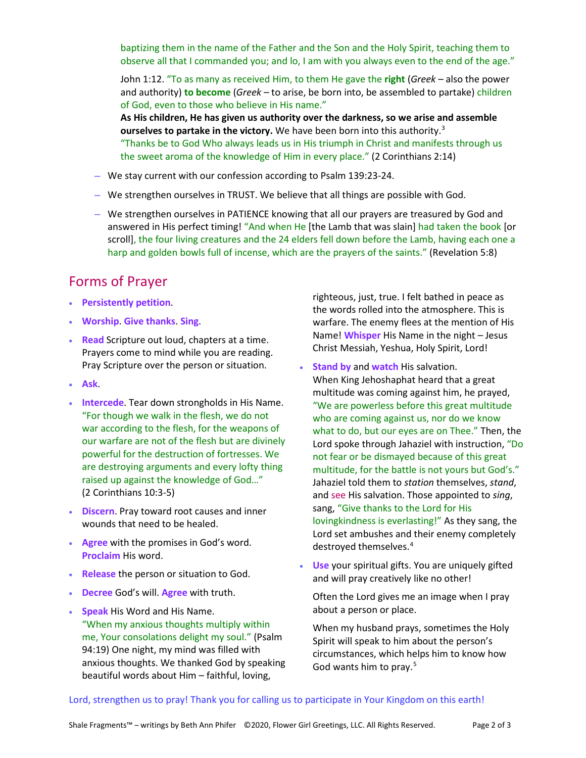baptizing them in the name of the Father and the Son and the Holy Spirit, teaching them to observe all that I commanded you; and lo, I am with you always even to the end of the age."

John 1:12. "To as many as received Him, to them He gave the **right** (*Greek –* also the power and authority) **to become** (*Greek –* to arise, be born into, be assembled to partake) children of God, even to those who believe in His name."

**As His children, He has given us authority over the darkness, so we arise and assemble ourselves to partake in the victory.** We have been born into this authority.<sup>[3](#page-2-2)</sup> "Thanks be to God Who always leads us in His triumph in Christ and manifests through us the sweet aroma of the knowledge of Him in every place." (2 Corinthians 2:14)

- − We stay current with our confession according to Psalm 139:23-24.
- − We strengthen ourselves in TRUST. We believe that all things are possible with God.
- − We strengthen ourselves in PATIENCE knowing that all our prayers are treasured by God and answered in His perfect timing! "And when He [the Lamb that was slain] had taken the book [or scroll], the four living creatures and the 24 elders fell down before the Lamb, having each one a harp and golden bowls full of incense, which are the prayers of the saints." (Revelation 5:8)

## Forms of Prayer

- **Persistently petition**.
- **Worship**. **Give thanks**. **Sing**.
- **Read** Scripture out loud, chapters at a time. Prayers come to mind while you are reading. Pray Scripture over the person or situation.
- **Ask**.
- **Intercede**. Tear down strongholds in His Name. "For though we walk in the flesh, we do not war according to the flesh, for the weapons of our warfare are not of the flesh but are divinely powerful for the destruction of fortresses. We are destroying arguments and every lofty thing raised up against the knowledge of God…" (2 Corinthians 10:3-5)
- **Discern**. Pray toward root causes and inner wounds that need to be healed.
- **Agree** with the promises in God's word. **Proclaim** His word.
- **Release** the person or situation to God.
- **Decree** God's will. **Agree** with truth.
- **Speak** His Word and His Name. "When my anxious thoughts multiply within me, Your consolations delight my soul." (Psalm 94:19) One night, my mind was filled with anxious thoughts. We thanked God by speaking beautiful words about Him – faithful, loving,

righteous, just, true. I felt bathed in peace as the words rolled into the atmosphere. This is warfare. The enemy flees at the mention of His Name! **Whisper** His Name in the night – Jesus Christ Messiah, Yeshua, Holy Spirit, Lord!

- **Stand by** and **watch** His salvation. When King Jehoshaphat heard that a great multitude was coming against him, he prayed, "We are powerless before this great multitude who are coming against us, nor do we know what to do, but our eyes are on Thee." Then, the Lord spoke through Jahaziel with instruction, "Do not fear or be dismayed because of this great multitude, for the battle is not yours but God's." Jahaziel told them to *station* themselves, *stand*, and see His salvation. Those appointed to *sing*, sang, "Give thanks to the Lord for His lovingkindness is everlasting!" As they sang, the Lord set ambushes and their enemy completely destroyed themselves.[4](#page-2-3)
- **Use** your spiritual gifts. You are uniquely gifted and will pray creatively like no other!

Often the Lord gives me an image when I pray about a person or place.

When my husband prays, sometimes the Holy Spirit will speak to him about the person's circumstances, which helps him to know how God wants him to pray.<sup>[5](#page-2-4)</sup>

## Lord, strengthen us to pray! Thank you for calling us to participate in Your Kingdom on this earth!